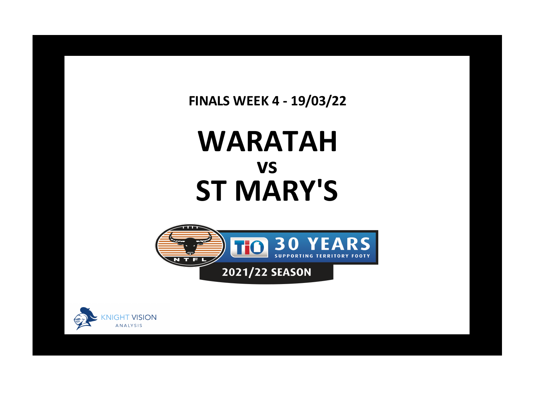**FINALS WEEK 4 - 19/03/22**

## **WARATAH ST MARY'S vs**





**x**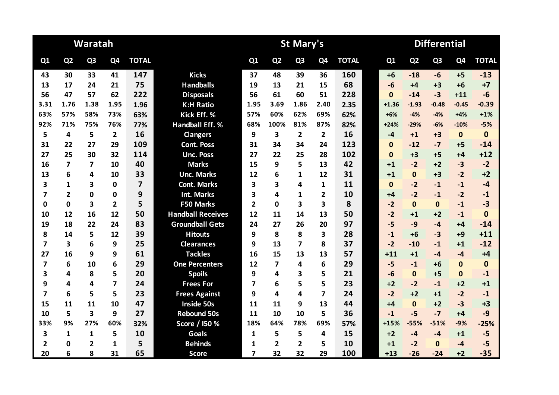|                         |                | Waratah                 |                         |                         |                          |                | <b>St Mary's</b> |                | <b>Differential</b>     |              |  |              |                |                |                |              |
|-------------------------|----------------|-------------------------|-------------------------|-------------------------|--------------------------|----------------|------------------|----------------|-------------------------|--------------|--|--------------|----------------|----------------|----------------|--------------|
| Q1                      | Q <sub>2</sub> | Q <sub>3</sub>          | Q4                      | <b>TOTAL</b>            |                          | Q1             | Q <sub>2</sub>   | Q <sub>3</sub> | Q <sub>4</sub>          | <b>TOTAL</b> |  | Q1           | Q <sub>2</sub> | Q <sub>3</sub> | Q <sub>4</sub> | <b>TOTAL</b> |
| 43                      | 30             | 33                      | 41                      | 147                     | <b>Kicks</b>             | 37             | 48               | 39             | 36                      | 160          |  | $+6$         | $-18$          | -6             | $+5$           | $-13$        |
| 13                      | 17             | 24                      | 21                      | 75                      | <b>Handballs</b>         | 19             | 13               | 21             | 15                      | 68           |  | $-6$         | $+4$           | $+3$           | $+6$           | $+7$         |
| 56                      | 47             | 57                      | 62                      | 222                     | <b>Disposals</b>         | 56             | 61               | 60             | 51                      | 228          |  | $\bf{0}$     | $-14$          | $-3$           | $+11$          | $-6$         |
| 3.31                    | 1.76           | 1.38                    | 1.95                    | 1.96                    | <b>K:H Ratio</b>         | 1.95           | 3.69             | 1.86           | 2.40                    | 2.35         |  | $+1.36$      | $-1.93$        | $-0.48$        | $-0.45$        | $-0.39$      |
| 63%                     | 57%            | 58%                     | 73%                     | 63%                     | Kick Eff. %              | 57%            | 60%              | 62%            | 69%                     | 62%          |  | $+6%$        | $-4%$          | $-4%$          | $+4%$          | $+1%$        |
| 92%                     | 71%            | 75%                     | 76%                     | 77%                     | <b>Handball Eff. %</b>   | 68%            | 100%             | 81%            | 87%                     | 82%          |  | $+24%$       | $-29%$         | $-6%$          | $-10%$         | $-5%$        |
| 5                       | 4              | 5                       | $\overline{2}$          | 16                      | <b>Clangers</b>          | 9              | 3                | $\overline{2}$ | $\overline{2}$          | 16           |  | $-4$         | $+1$           | $+3$           | $\mathbf{0}$   | $\mathbf{0}$ |
| 31                      | 22             | 27                      | 29                      | 109                     | <b>Cont. Poss</b>        | 31             | 34               | 34             | 24                      | 123          |  | $\bf{0}$     | $-12$          | $-7$           | $+5$           | $-14$        |
| 27                      | 25             | 30                      | 32                      | 114                     | <b>Unc. Poss</b>         | 27             | 22               | 25             | 28                      | 102          |  | $\mathbf{0}$ | $+3$           | $+5$           | $+4$           | $+12$        |
| 16                      | $\overline{7}$ | $\overline{\mathbf{z}}$ | 10                      | 40                      | <b>Marks</b>             | 15             | 9                | 5              | 13                      | 42           |  | $+1$         | $-2$           | $+2$           | $-3$           | $-2$         |
| 13                      | 6              | 4                       | 10                      | 33                      | <b>Unc. Marks</b>        | 12             | 6                | 1              | 12                      | 31           |  | $+1$         | $\mathbf{0}$   | $+3$           | $-2$           | $+2$         |
| 3                       | 1              | 3                       | 0                       | $\overline{\mathbf{z}}$ | <b>Cont. Marks</b>       | 3              | 3                | 4              | 1                       | 11           |  | $\mathbf{0}$ | $-2$           | $-1$           | $-1$           | $-4$         |
| 7                       | $\overline{2}$ | $\mathbf 0$             | 0                       | 9                       | <b>Int. Marks</b>        | 3              | 4                | $\mathbf{1}$   | $\overline{2}$          | 10           |  | $+4$         | $-2$           | $-1$           | $-2$           | $-1$         |
| 0                       | $\mathbf 0$    | $\overline{\mathbf{3}}$ | $\overline{2}$          | 5                       | <b>F50 Marks</b>         | $\overline{2}$ | $\Omega$         | 3              | $\overline{\mathbf{3}}$ | 8            |  | $-2$         | $\mathbf{0}$   | $\mathbf{0}$   | $-1$           | $-3$         |
| 10                      | 12             | 16                      | 12                      | 50                      | <b>Handball Receives</b> | 12             | 11               | 14             | 13                      | 50           |  | $-2$         | $+1$           | $+2$           | $-1$           | $\mathbf{0}$ |
| 19                      | 18             | 22                      | 24                      | 83                      | <b>Groundball Gets</b>   | 24             | 27               | 26             | 20                      | 97           |  | $-5$         | $-9$           | $-4$           | $+4$           | $-14$        |
| 8                       | 14             | 5                       | 12                      | 39                      | <b>Hitouts</b>           | 9              | 8                | 8              | 3                       | 28           |  | $-1$         | $+6$           | $-3$           | $+9$           | $+11$        |
| 7                       | 3              | 6                       | 9                       | 25                      | <b>Clearances</b>        | 9              | 13               | 7              | 8                       | 37           |  | $-2$         | $-10$          | $-1$           | $+1$           | $-12$        |
| 27                      | 16             | 9                       | 9                       | 61                      | <b>Tackles</b>           | 16             | 15               | 13             | 13                      | 57           |  | $+11$        | $+1$           | $-4$           | $-4$           | $+4$         |
| $\overline{\mathbf{z}}$ | 6              | 10                      | 6                       | 29                      | <b>One Percenters</b>    | 12             | $\overline{7}$   | 4              | 6                       | 29           |  | $-5$         | $-1$           | $+6$           | $\bf{0}$       | $\mathbf{0}$ |
| 3                       | 4              | 8                       | 5                       | 20                      | <b>Spoils</b>            | 9              | 4                | 3              | 5                       | 21           |  | $-6$         | $\mathbf{0}$   | $+5$           | $\mathbf{0}$   | $-1$         |
| 9                       | 4              | 4                       | $\overline{\mathbf{z}}$ | 24                      | <b>Frees For</b>         | 7              | 6                | 5              | 5                       | 23           |  | $+2$         | $-2$           | $-1$           | $+2$           | $+1$         |
| 7                       | 6              | 5                       | 5                       | 23                      | <b>Frees Against</b>     | 9              | 4                | 4              | $\overline{\mathbf{z}}$ | 24           |  | $-2$         | $+2$           | $+1$           | $-2$           | $-1$         |
| 15                      | 11             | 11                      | 10                      | 47                      | Inside 50s               | 11             | 11               | 9              | 13                      | 44           |  | $+4$         | $\mathbf{0}$   | $+2$           | $-3$           | $+3$         |
| 10                      | 5              | $\overline{\mathbf{3}}$ | 9                       | 27                      | <b>Rebound 50s</b>       | 11             | 10               | 10             | 5                       | 36           |  | $-1$         | $-5$           | $-7$           | $+4$           | $-9$         |
| 33%                     | 9%             | 27%                     | 60%                     | 32%                     | Score / I50 %            | 18%            | 64%              | 78%            | 69%                     | 57%          |  | $+15%$       | $-55%$         | $-51%$         | $-9%$          | $-25%$       |
| 3                       | 1              | $\mathbf{1}$            | 5                       | 10                      | <b>Goals</b>             | 1              | 5                | 5              | 4                       | 15           |  | $+2$         | $-4$           | $-4$           | $+1$           | $-5$         |
| 2                       | 0              | 2                       | 1                       | 5                       | <b>Behinds</b>           | 1              | $\overline{2}$   | $\overline{2}$ | 5                       | 10           |  | $+1$         | $-2$           | $\Omega$       | $-4$           | $-5$         |
| 20                      | 6              | 8                       | 31                      | 65                      | <b>Score</b>             | 7              | 32               | 32             | 29                      | 100          |  | $+13$        | $-26$          | $-24$          | $+2$           | $-35$        |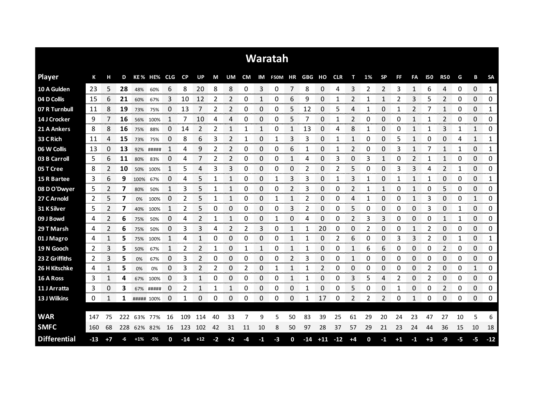|                     |       |      |     |            |             |    |           |           |      |      |    |          | Waratah               |    |       |       |       |      |    |           |      |    |      |                     |    |                        |                       |
|---------------------|-------|------|-----|------------|-------------|----|-----------|-----------|------|------|----|----------|-----------------------|----|-------|-------|-------|------|----|-----------|------|----|------|---------------------|----|------------------------|-----------------------|
| <b>Player</b>       | К     | н    | D   |            | KE% HE% CLG |    | <b>CP</b> | <b>UP</b> | M    | UM   | CM |          | IM F50M HR GBG HO CLR |    |       |       |       | т    | 1% | <b>SP</b> | FF   | FA | 150  | <b>R50</b>          | G  | В                      | <b>SA</b>             |
| 10 A Gulden         | -23   | 5    | 28  | 48%        | 60%         | 6  | 8         | 20        | 8    | 8    | 0  | 3        | 0                     | 7  | 8     | 0     | 4     | 3    |    | 2         | 3    | 1  | 6    | 4                   | 0  | $\Omega$               | $\mathbf{1}$          |
| 04 D Collis         | 15    | 6    | 21  | 60%        | 67%         | 3  | 10        | 12        | 2    | 2    | 0  | 1        | 0                     | 6  | 9     | 0     |       |      |    | 1         | 2    | 3  | 5    | 2                   | 0  | 0                      | 0                     |
| 07 R Turnbull       | 11    | 8    | 19  | 73%        | 75%         | 0  | 13        |           | 2    | 2    | 0  | 0        | 0                     | 5  | 12    | 0     | 5     | 4    |    | 0         |      | 2  |      | 1                   | 0  | 0                      | 1                     |
| 14 J Crocker        | 9     |      | 16  | 56%        | 100%        | 1  | 7         | 10        | 4    | 4    | 0  | 0        | 0                     | 5  | 7     | 0     |       | 2    | O  | 0         | 0    | 1  |      | 2                   | 0  | 0                      | 0                     |
| 21 A Ankers         | 8     | 8    | 16  | 75%        | 88%         | 0  | 14        | 2         | 2    | 1    | 1  | 1        | 0                     | 1  | 13    | 0     | 4     | 8    | 1  | 0         | 0    | 1  |      | 3                   |    | $\mathbf{1}$           | 0                     |
| 33 C Rich           | 11    | 4    | 15  | 73%        | 75%         | 0  | 8         | 6         | 3    | 2    | 1  | $\Omega$ | 1                     | 3  | 3     | 0     |       | 1    | 0  | $\Omega$  | 5    | 1  | 0    | 0                   | 4  | 1                      | 1                     |
| 06 W Collis         | 13    | 0    | 13  | 92%        | #####       |    | 4         | 9         | 2    | 2    | 0  | 0        | 0                     | 6  | 1     | 0     |       | 2    | 0  | 0         | 3    | 1  |      | 1                   | 1  | 0                      | 1                     |
| 03 B Carroll        | 5     | 6    | 11  | 80%        | 83%         | 0  | 4         | 7         | 2    | 2    | 0  | 0        | 0                     | 1  | 4     | 0     | 3     | 0    | 3  | 1         | 0    | 2  | 1    | 1                   | 0  | 0                      | 0                     |
| 05 T Cree           | 8     | 2    | 10  | 50%        | 100%        | 1  | 5         | 4         | 3    | 3    | 0  | 0        | 0                     | 0  | 2     | 0     | 2     | 5    | 0  | 0         | 3    | 3  | 4    | $\overline{2}$      | 1  | 0                      | 0                     |
| 15 R Bartee         | 3     | 6    | 9   | 100%       | 67%         | 0  | 4         | 5         | 1    | 1    | 0  | 0        | 1                     | 3  | 3     | 0     | 1     | 3    | 1  | 0         | 1    | 1  | 1    | 0                   | 0  | 0                      | 1                     |
| 08 D O'Dwyer        | 5     | 2    | 7   | 80%        | 50%         | 1  | 3         | 5         | 1    | 1    | 0  | 0        | 0                     | 2  | 3     | 0     | 0     | 2    |    | 1         | 0    | 1  | 0    | 5                   | 0  | 0                      | 0                     |
| 27 C Arnold         | 2     | 5    | 7   | 0%         | 100%        | 0  | 2         | 5         | 1    | 1    | 0  | 0        | 1                     | 1  | 2     | 0     | 0     | 4    |    | 0         | 0    | 1  | 3    | 0                   | 0  | 1                      | 0                     |
| 31 K Silver         | 5     | 2    | 7   |            | 40% 100%    | 1  | 2         | 5         | 0    | 0    | 0  | 0        | 0                     | 3  | 2     | 0     | 0     | 5    | 0  | 0         | 0    | 0  | 3    | 0                   | 1  | $\Omega$               | 0                     |
| 09 J Bowd           | 4     |      | 6   | 75%        | 50%         | 0  | 4         |           |      | 1    | 0  | 0        | 1                     | 0  | 4     | 0     | 0     |      | 3  | 3         | 0    | 0  | 0    | 1                   | 1  | 0<br><b>STATISTICS</b> | 0<br>manan m          |
| 29 T Marsh          | 4     | 2    | 6   | 75%        | 50%         | 0  | 3         | 3         | 4    | 2    | 2  | 3        | 0                     |    |       | 20    | 0     | 0    | 2  | 0         | 0    |    | 2    | 0                   | 0  | 0<br><b>Territoria</b> | 0<br>www.com          |
| 01 J Magro          | 4     |      | 5   | 75%        | 100%        |    | 4         |           | O    | 0    | 0  | 0        | 0                     |    |       | 0     | 2     | 6    | O  | O         | 3    | 3  |      | 0                   |    | 0                      | 1<br><b>CONTRACTO</b> |
| 19 N Gooch          | 2     | 3    | 5   | 50%        | 67%         | 1  | 2         | 2         | 1    | 0    | 1  | 1        | 0                     | 1  |       | 0     | 0     | 1    | 6  | 6         | 0    | 0  | 0    | 2<br><b>Service</b> | 0  | 0<br>an mara           | 0<br>anana an         |
| 23 Z Griffiths      | 2     | 3    | 5   | 0%         | 67%         | 0  | 3         |           | O    | 0    | 0  | 0        | 0                     | 2  | 3     | 0     | 0     | 1    | O  | 0         | O    | 0  | O    | 0                   | 0  | 0                      | 0                     |
| 26 H Kitschke       | 4     |      | 5   | 0%         | 0%          | 0  | 3         | 2         | 2    | 0    | 2  | 0        | 1                     | 1  |       | 2     | 0     | 0    | 0  | 0         | 0    | 0  | 2    | 0                   | 0  | 1                      | 0                     |
| 16 A Ross           | 3     | 1    | 4   | 67%        | 100%        | 0  | 3         | 1         | 0    | 0    | 0  | 0        | 0                     | 1  |       | 0     | 0     | 3    | 5  | 4         | 2    | 0  | 2    | 0                   | 0  | 0                      | 0                     |
| 11 J Arratta        | 3     | 0    | 3   |            | 67% #####   | 0  | 2         | 1         | 1    | 1    | 0  | 0        | 0                     | 0  | 1     | 0     | 0     | 5    | 0  | 0         | 1    | 0  | 0    | 2                   | 0  | 0                      | 0                     |
| 13 J Wilkins        | 0     | 1    | 1   | ##### 100% |             | 0  | 1         | 0         | 0    | 0    | 0  | 0        | 0                     | 0  | 1     | 17    | 0     | 2    | 2  | 2         | 0    | 1  | 0    | 0                   | 0  | 0                      | 0                     |
|                     |       |      |     |            |             |    |           |           |      |      |    |          |                       |    |       |       |       |      |    |           |      |    |      |                     |    |                        |                       |
| <b>WAR</b>          | 147   | 75   | 222 |            | 63% 77%     | 16 | 109       | 114       | 40   | 33   | 7  | 9        | 5                     | 50 | 83    | 39    | 25    | 61   | 29 | 20        | 24   | 23 | 47   | 27                  | 10 | 5                      | 6                     |
| <b>SMFC</b>         | 160   | 68   | 228 |            | 62% 82%     | 16 | 123       | 102       | 42   | 31   | 11 | 10       | 8                     | 50 | 97    | 28    | 37    | 57   | 29 | 21        | 23   | 24 | 44   | 36                  | 15 | 10                     | 18                    |
| <b>Differential</b> | $-13$ | $+7$ | -6  | $+1%$      | -5%         | 0  | -14       | $+12$     | $-2$ | $+2$ | -4 | -1       | -3                    | 0  | $-14$ | $+11$ | $-12$ | $+4$ | 0  | $-1$      | $+1$ | -1 | $+3$ | -9                  | -5 | -5                     | $-12$                 |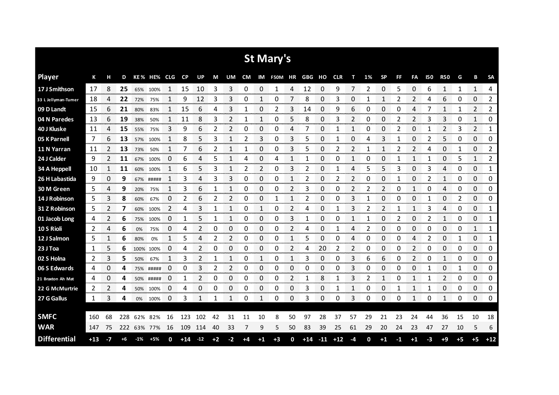|                     |       |      |     |       |             |                         |             |                             |      |                     |    |               | St Mary's  |              |        |       |            |              |    |              |     |                        |            |                      |           |               |                     |
|---------------------|-------|------|-----|-------|-------------|-------------------------|-------------|-----------------------------|------|---------------------|----|---------------|------------|--------------|--------|-------|------------|--------------|----|--------------|-----|------------------------|------------|----------------------|-----------|---------------|---------------------|
| <b>Player</b>       | К     | н    | D   |       | KE% HE% CLG |                         | CP          | UP                          | М    | UM                  | CM |               | IM F50M HR |              | GBG HO |       | <b>CLR</b> | т            | 1% | <b>SP</b>    | FF. | FA                     | <b>I50</b> | <b>R50</b>           | G         | В             | <b>SA</b>           |
| 17 J Smithson       | 17    | 8    | 25  | 65%   | 100%        | 1                       | 15          | 10                          | 3    | 3                   | 0  | 0             | 1          | 4            | 12     | 0     | 9          | 7            | 2  | 0            | 5   | 0                      | 6          | 1                    | 1         | $\mathbf{1}$  | 4                   |
| 33 L Jellyman-Tumer | 18    | 4    | 22  | 72%   | 75%         |                         | 9           | 12                          | 3    | 3                   | 0  |               | 0          |              | 8      | 0     | 3          | 0            |    | 1            |     | 2                      |            | 6                    | 0         | 0             | 2                   |
| 09 D Landt          | 15    | 6    | 21  | 80%   | 83%         | 1                       | 15          | 6                           | 4    | 3                   | 1  | 0             | 2          | 3            | 14     | 0     | 9          | 6            | 0  | 0            | 0   | 4                      |            | 1                    | 1         | 2             | 2                   |
| 04 N Paredes        | 13    | 6    | 19  | 38%   | 50%         | 1                       | 11          | 8                           | 3    | 2                   | 1  | 1             | 0          | 5            | 8      | 0     | 3          | 2            | 0  | 0            | 2   | 2                      | 3          | 3                    | 0         | 1             | 0                   |
| 40 J Kluske         | 11    | 4    | 15  | 55%   | 75%         | 3                       | 9           | 6                           | 2    | 2                   | 0  | 0             | 0          | 4            | 7      | 0     | 1          | $\mathbf{1}$ | 0  | 0            | 2   | 0                      | 1          | $\overline{2}$       | 3         | 2             | 1                   |
| 05 K Parnell        | 7     | 6    | 13  | 57%   | 100%        | 1                       | 8           | 5                           | 3    | 1                   | 2  | 3             | 0          | 3            | 5      | 0     |            | 0            | Δ  | 3            | 1   | 0                      | 2          | 5                    | 0         | 0             | 0                   |
| 11 N Yarran         | 11    | 2    | 13  | 73%   | 50%         | 1                       | 7           | 6                           | 2    | 1                   | 1  | 0             | 0          | 3            | 5      | 0     | 2          | 2            | 1  | 1            | 2   | 2                      | 4          | 0                    | 1         | 0             | 2                   |
| 24 J Calder         | 9     | 2    | 11  | 67%   | 100%        | 0                       | 6           | 4                           | 5    | 1                   | 4  | 0             | 4          | 1            |        | 0     | 0          | 1            | 0  | 0            |     | 1                      | 1          | 0                    | 5         | 1             | 2                   |
| 34 A Heppell        | 10    | 1    | 11  | 60%   | 100%        | 1                       | 6           | 5                           | 3    | 1                   | 2  | 2             | 0          | 3            | 2      | 0     | 1          | 4            | 5  | 5            | 3   | 0                      | 3          | 4                    | 0         | 0             | 1                   |
| 26 H Labastida      | 9     | 0    | 9   |       | 67% #####   | 1                       | 3           | 4                           | 3    | 3                   | 0  | 0             | 0          | 1            | 2      | 0     |            | 2            | 0  | 0            | 1   | 0                      | 2          | 1                    | 0         | 0             | 0                   |
| 30 M Green          | 5     | 4    | 9   | 20%   | 75%         | 1                       | 3           | 6                           | 1    | 1                   | 0  | 0             | 0          | 2            | 3      | 0     | 0          | 2            | 2  | 2            | 0   | 1                      | 0          | 4                    | 0         | 0             | 0                   |
| 14 J Robinson       | 5     | 3    | 8   | 60%   | 67%         | 0                       | 2           | 6                           | 2    | 2                   | 0  | 0             |            | 1            |        | 0     | 0          | 3            |    | 0            | 0   | 0                      | 1          | 0                    | 2         | 0             | 0                   |
| 31 Z Robinson       | 5     | 2    | 7   | 60%   | 100%        | 2                       | 4           | 3                           | 1    | $\mathbf{1}$        | 0  | 1             | 0          | 2            | 4      | 0     |            | 3            | 2  | 2            | 1   | 1                      | 3          | 4                    | 0         | 0             | 1                   |
| 01 Jacob Long       | 4     | 2    | 6   | 75%   | 100%        | 0                       | 1           | 5                           |      | 1                   | 0  | 0             | 0          | 3            |        | 0     | O          | 1            | 1  | 0            | 2   | 0                      | 2          | 1                    | 0         | 0             | 1<br>omano e        |
| 10 S Rioli          | 2     | 4    | 6   | 0%    | 75%         | 0                       | 4           | 2                           | 0    | 0                   | 0  | 0             | 0          | 2            | 4      | 0     |            | 4            | 2  | 0            | 0   | 0                      | 0          | 0                    | 0         | 1             | 1<br>www.com        |
| 12 J Salmon         | 5     |      | 6   | 80%   | 0%          | <b>CONTRACTOR</b>       | 5           | 4                           | 2    | 2<br>manan <b>a</b> | 0  | 0<br>ter en a | 0          |              |        | 0     | O          | 4            | O  | 0<br>ana ar  | 0   | 4<br><b>CONTRACTOR</b> |            | 0<br><b>Seconds</b>  | anana ana | 0<br>ananan a | 1<br><b>Secondo</b> |
| 23 J Toa            | 1     | 5    | 6   |       | 100% 100%   | 0<br>ana ana amin'ny    | 4           | 2                           | 0    | 0                   | 0  | 0             | 0          | 2            | 4      | 20    | 2          | 2            | 0  | 0<br>an an a | 0   | 2<br>www.              | 0          | 0<br>anan men        | 0         | 0<br>an an an | 0<br>www.com        |
| 02 S Holna          | 2     | 3    | 5   | 50%   | 67%         |                         | 3           |                             |      |                     | 0  |               | 0          |              | 3      | 0     | O          | 3            | 6  | 6            | 0   | 2                      | C          | 1                    | 0         | 0             | 0                   |
| 06 S Edwards        | 4     | 0    | 4   |       | 75% #####   | 0                       | 0           | 3                           | 2    | 2                   | 0  | 0             | 0          | 0            | 0      | 0     | 0          | 3            | 0  | 0            | 0   | 0                      |            | 0                    | 1         | 0             | 0                   |
| 21 Braxton Ah Mat   | 4     | 0    | 4   | 50%   | #####       | 0<br><b>DESCRIPTION</b> | 1<br>ananan | 2<br><b>Service Control</b> | 0    | 0<br>----           | 0  | 0<br>mana.    | 0          | 2<br>nanan i | 1      | 8     |            | 3            | 2  | 1            | 0   | 1                      |            | 2<br><b>Services</b> | 0         | 0<br>an an a  | 0<br>annonno        |
| 22 G McMurtrie      | 2     | 2    | 4   | 50%   | 100%        | U                       | 4           | 0                           | 0    | 0                   | 0  | 0             | 0          | 0            | 3      | 0     |            | 1            | 0  | 0            |     | 1                      | 1          | 0                    | 0         | 0             | 0<br>an an a        |
| 27 G Gallus         | 1     | 3    | 4   |       | 0% 100%     | 0                       | 3           | 1                           |      | 1                   | 0  | 1             | 0          | 0            | 3      | 0     | 0          | 3            | 0  | 0            | 0   | 1                      | 0          | 1                    | 0         | 0             | 0                   |
|                     |       |      |     |       |             |                         |             |                             |      |                     |    |               |            |              |        |       |            |              |    |              |     |                        |            |                      |           |               |                     |
| <b>SMFC</b>         | 160   | 68   | 228 | 62%   | 82%         | 16                      | 123         | 102                         | 42   | 31                  | 11 | 10            | 8          | 50           | 97     | 28    | 37         | 57           | 29 | 21           | 23  | 24                     | 44         | 36                   | 15        | 10            | 18                  |
| <b>WAR</b>          | 147   | 75   | 222 |       | 63% 77%     | 16                      | 109         | 114                         | 40   | 33                  | 7  | 9             | 5          | 50           | 83     | 39    | 25         | 61           | 29 | 20           | 24  | 23                     | 47         | 27                   | 10        | 5             | 6                   |
| <b>Differential</b> | $+13$ | $-7$ | +6  | $-1%$ | $+5%$       | 0                       | $+14$       | $-12$                       | $+2$ | $-2$                | +4 | $+1$          | $+3$       | 0            | $+14$  | $-11$ | $+12$      | -4           | 0  | $+1$         | -1  | $+1$                   | -3         | $+9$                 | $+5$      | $+5$          | $+12$               |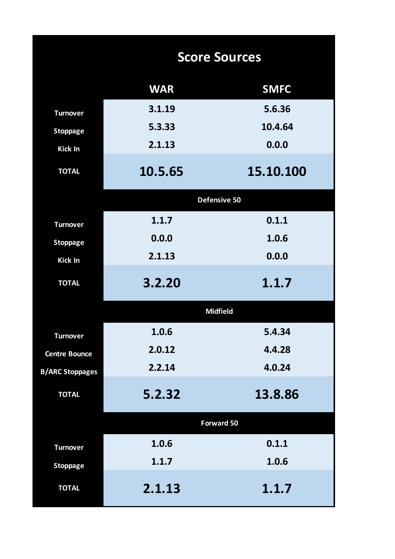|                        |            | <b>Score Sources</b> |
|------------------------|------------|----------------------|
|                        | <b>WAR</b> | <b>SMFC</b>          |
| <b>Turnover</b>        | 3.1.19     | 5.6.36               |
| <b>Stoppage</b>        | 5.3.33     | 10.4.64              |
| <b>Kick In</b>         | 2.1.13     | 0.0.0                |
| <b>TOTAL</b>           | 10.5.65    | 15.10.100            |
|                        |            | Defensive 50         |
| <b>Turnover</b>        | 1.1.7      | 0.1.1                |
| <b>Stoppage</b>        | 0.0.0      | 1.0.6                |
| <b>Kick In</b>         | 2.1.13     | 0.0.0                |
| <b>TOTAL</b>           | 3.2.20     | 1.1.7                |
|                        |            | <b>Midfield</b>      |
| <b>Turnover</b>        | 1.0.6      | 5.4.34               |
| <b>Centre Bounce</b>   | 2.0.12     | 4.4.28               |
| <b>B/ARC Stoppages</b> | 2.2.14     | 4.0.24               |
| <b>TOTAL</b>           | 5.2.32     | 13.8.86              |
|                        |            | <b>Forward 50</b>    |
| <b>Turnover</b>        | 1.0.6      | 0.1.1                |
| <b>Stoppage</b>        | 1.1.7      | 1.0.6                |
| <b>TOTAL</b>           | 2.1.13     | 1.1.7                |